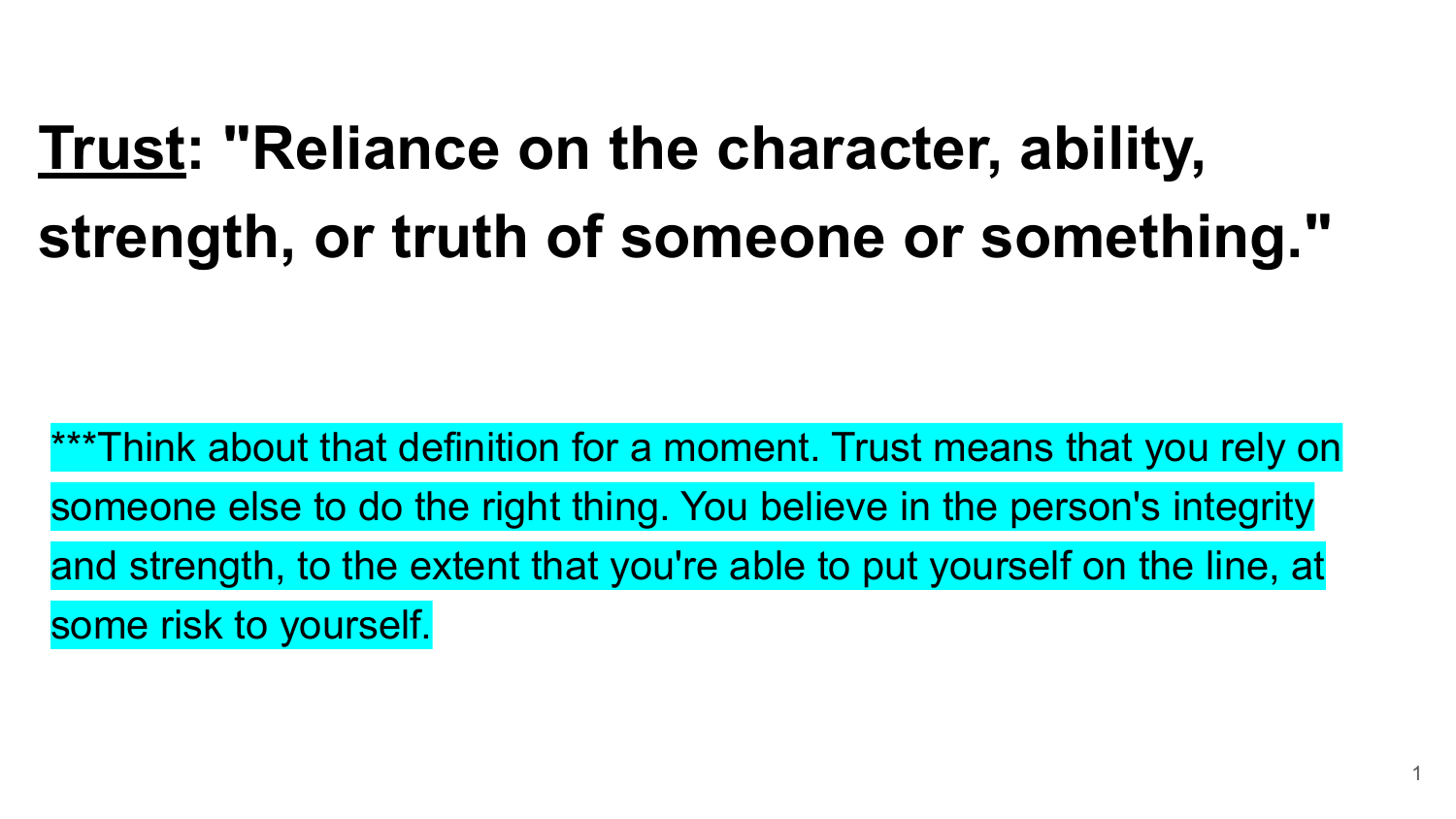# **Trust: "Reliance on the character, ability, strength, or truth of someone or something."**

\*\*\*Think about that definition for a moment. Trust means that you rely on someone else to do the right thing. You believe in the person's integrity and strength, to the extent that you're able to put yourself on the line, at some risk to yourself.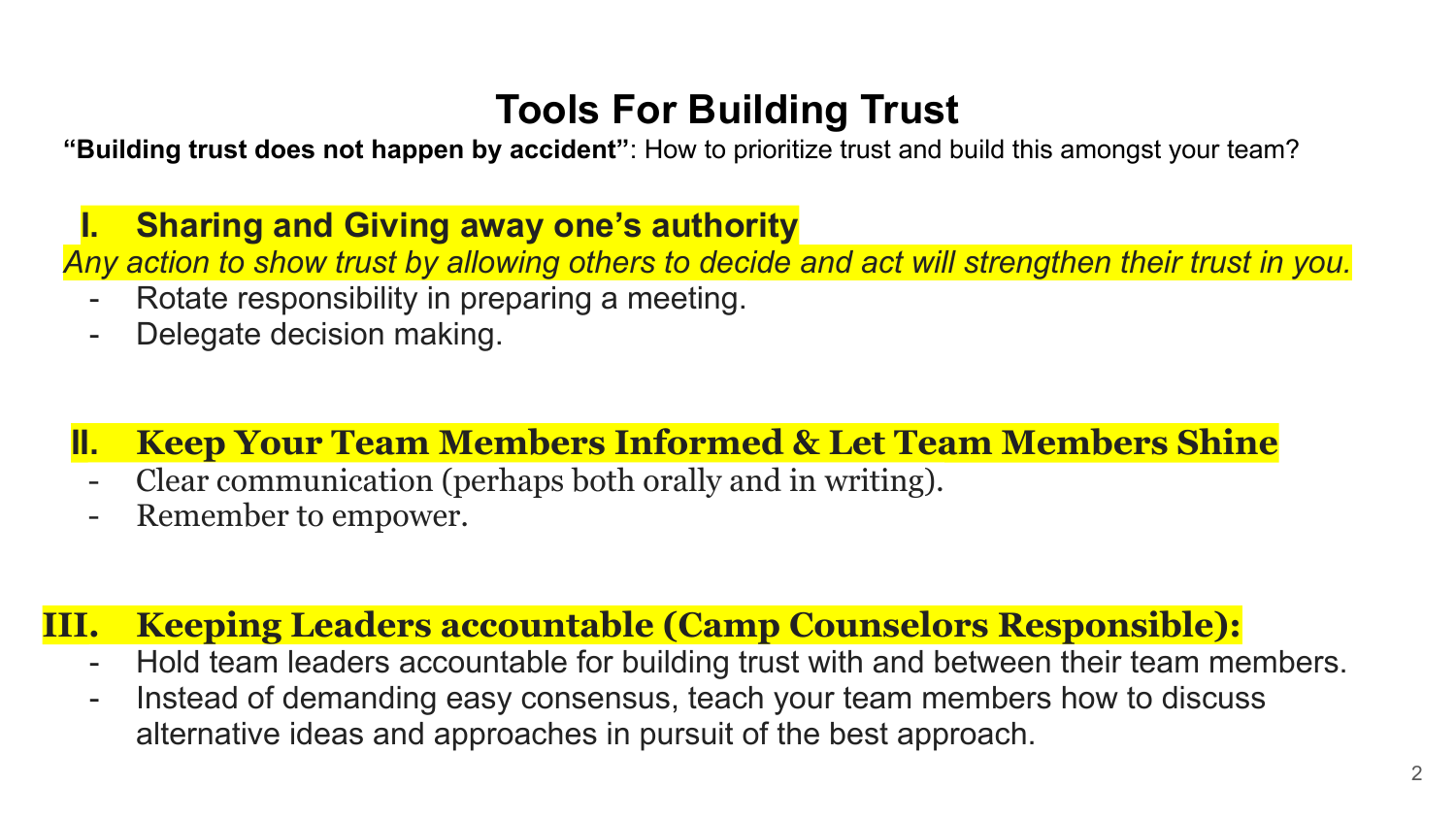### **Tools For Building Trust**

**"Building trust does not happen by accident"**: How to prioritize trust and build this amongst your team?

**I. Sharing and Giving away one's authority**

*Any action to show trust by allowing others to decide and act will strengthen their trust in you.*

- Rotate responsibility in preparing a meeting.
- Delegate decision making.
- **II. Keep Your Team Members Informed & Let Team Members Shine**
	- Clear communication (perhaps both orally and in writing).
	- Remember to empower.

#### **III. Keeping Leaders accountable (Camp Counselors Responsible):**

- Hold team leaders accountable for building trust with and between their team members.
- Instead of demanding easy consensus, teach your team members how to discuss alternative ideas and approaches in pursuit of the best approach.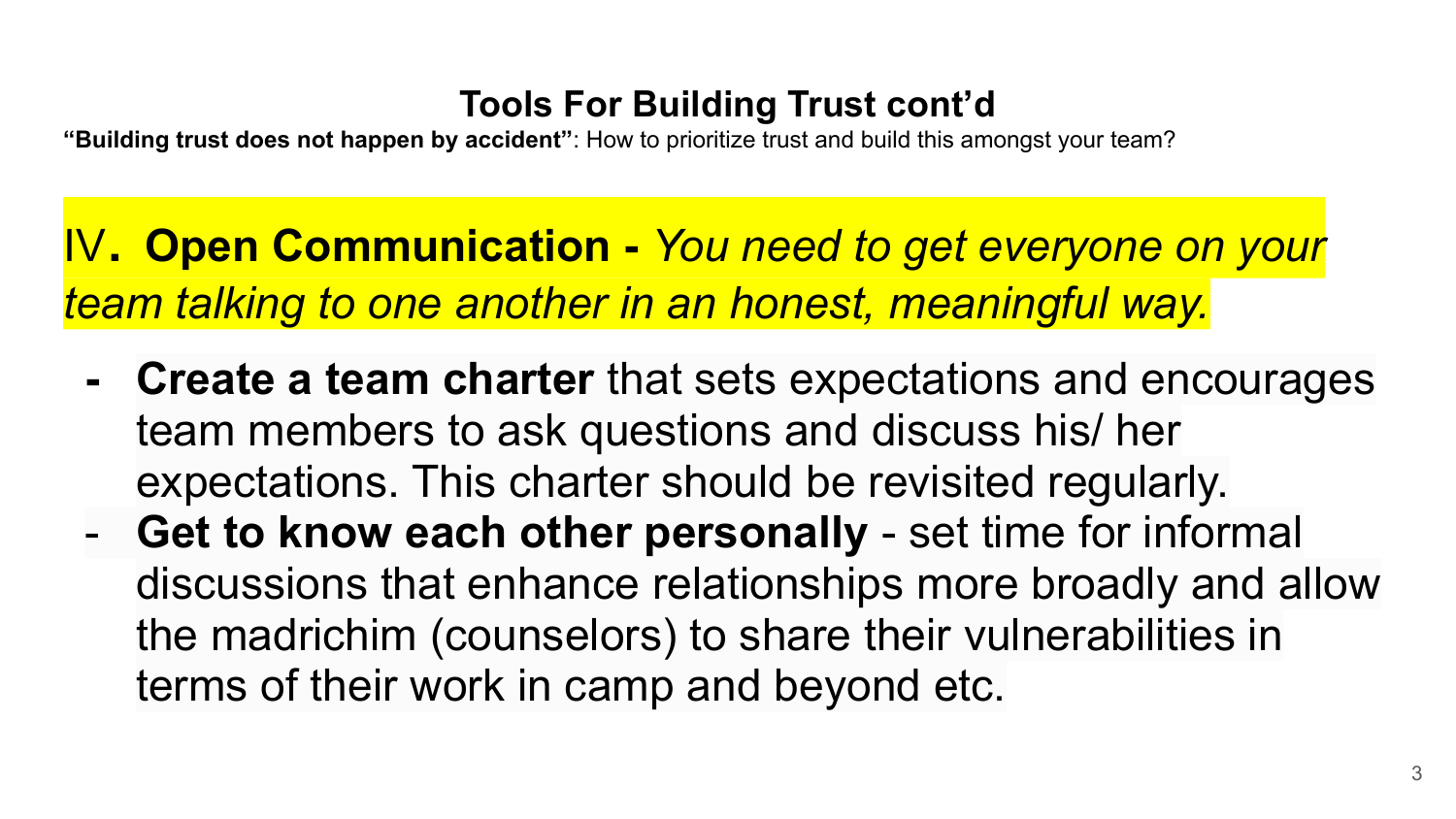#### **Tools For Building Trust cont'd**

**"Building trust does not happen by accident"**: How to prioritize trust and build this amongst your team?

IV. **Open Communication -** *You need to get everyone on your team talking to one another in an honest, meaningful way.*

- **- Create a team charter** that sets expectations and encourages team members to ask questions and discuss his/ her expectations. This charter should be revisited regularly.
- **Get to know each other personally** set time for informal discussions that enhance relationships more broadly and allow the madrichim (counselors) to share their vulnerabilities in terms of their work in camp and beyond etc.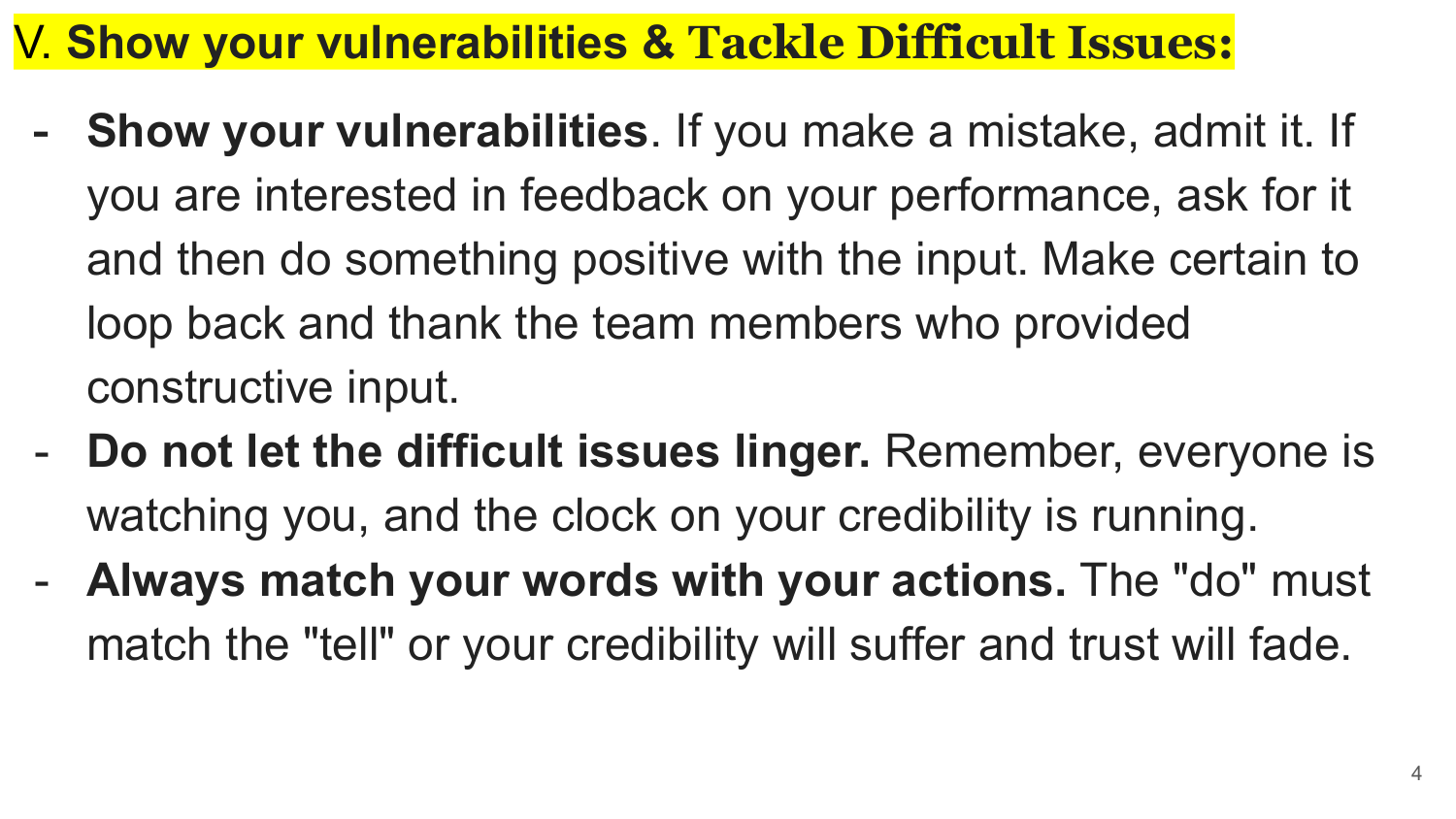## V. **Show your vulnerabilities & Tackle Difficult Issues:**

- **- Show your vulnerabilities**. If you make a mistake, admit it. If you are interested in feedback on your performance, ask for it and then do something positive with the input. Make certain to loop back and thank the team members who provided constructive input.
- **Do not let the difficult issues linger.** Remember, everyone is watching you, and the clock on your credibility is running.
- **Always match your words with your actions.** The "do" must match the "tell" or your credibility will suffer and trust will fade.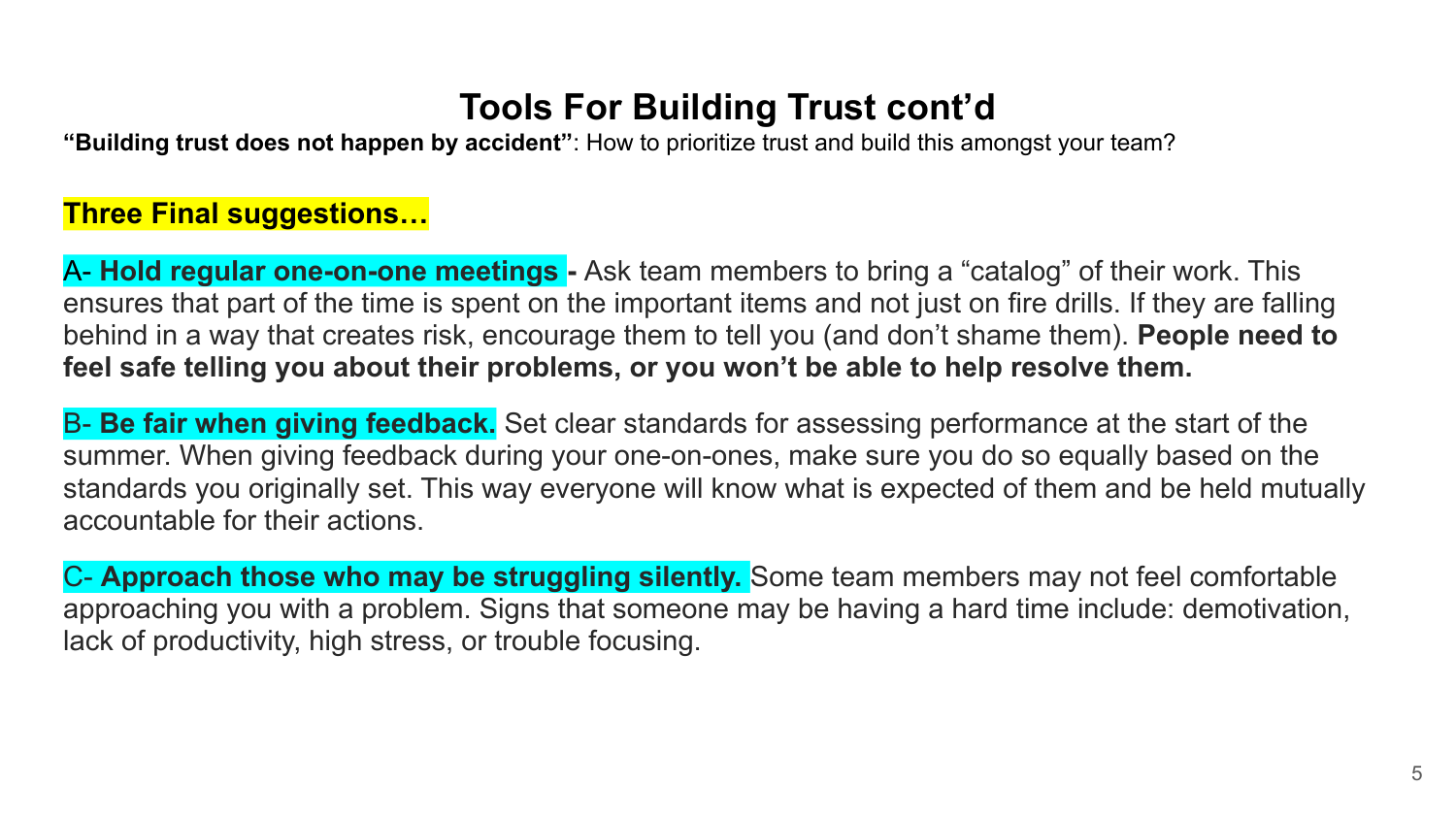#### **Tools For Building Trust cont'd**

**"Building trust does not happen by accident"**: How to prioritize trust and build this amongst your team?

#### **Three Final suggestions…**

A- **Hold regular one-on-one meetings -** Ask team members to bring a "catalog" of their work. This ensures that part of the time is spent on the important items and not just on fire drills. If they are falling behind in a way that creates risk, encourage them to tell you (and don't shame them). **People need to feel safe telling you about their problems, or you won't be able to help resolve them.**

B- **Be fair when giving feedback.** Set clear standards for assessing performance at the start of the summer. When giving feedback during your one-on-ones, make sure you do so equally based on the standards you originally set. This way everyone will know what is expected of them and be held mutually accountable for their actions.

C- **Approach those who may be struggling silently.** Some team members may not feel comfortable approaching you with a problem. Signs that someone may be having a hard time include: demotivation, lack of productivity, high stress, or trouble focusing.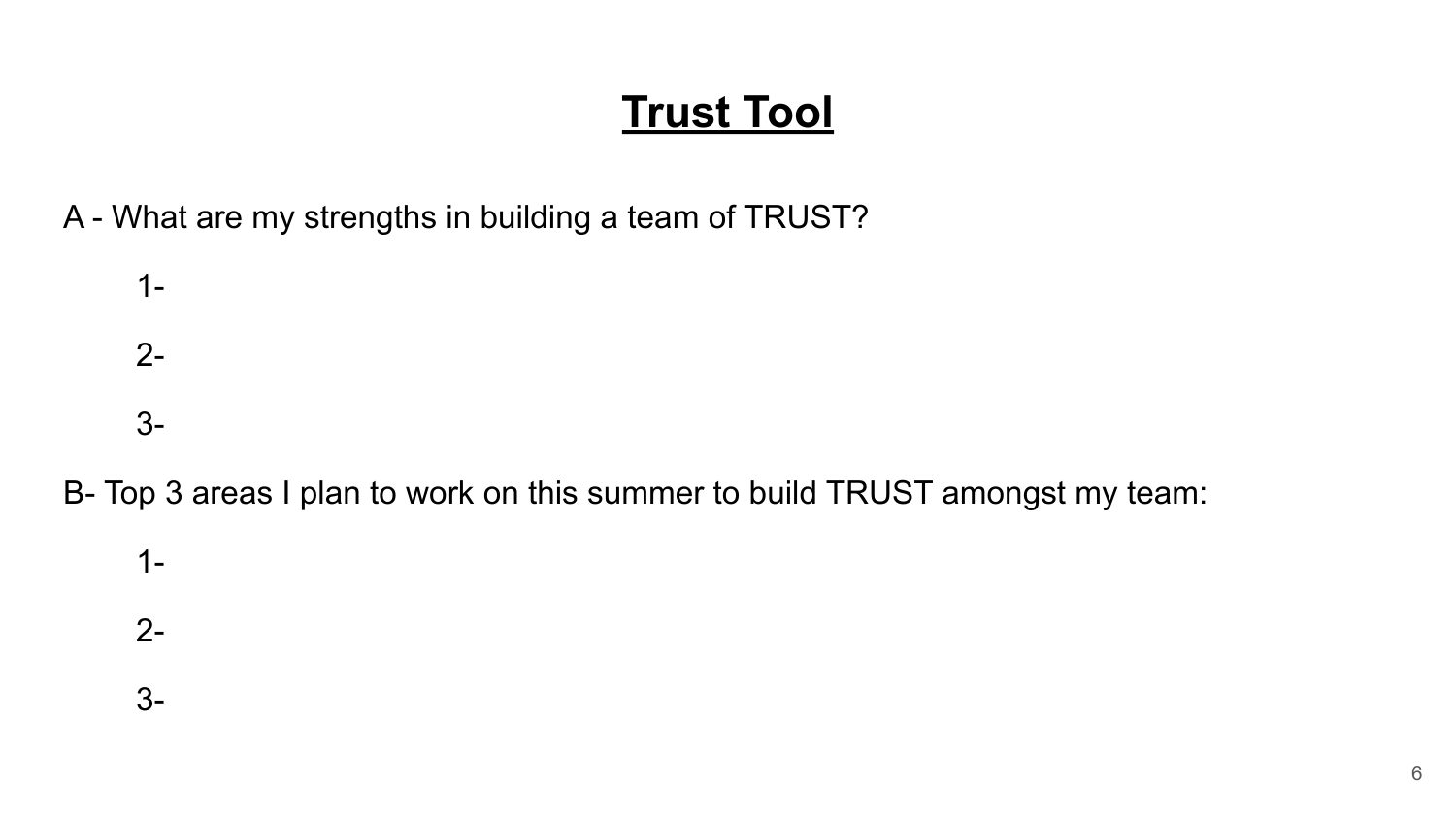## **Trust Tool**

A - What are my strengths in building a team of TRUST?

1- 2- 3-

B- Top 3 areas I plan to work on this summer to build TRUST amongst my team:

1-

2-

3-